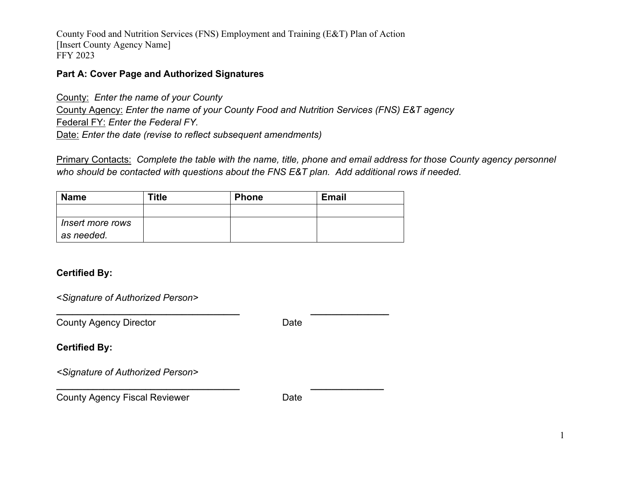County Food and Nutrition Services (FNS) Employment and Training (E&T) Plan of Action [Insert County Agency Name] FFY 2023

#### **Part A: Cover Page and Authorized Signatures**

County: *Enter the name of your County* County Agency: *Enter the name of your County Food and Nutrition Services (FNS) E&T agency* Federal FY: *Enter the Federal FY.* Date: *Enter the date (revise to reflect subsequent amendments)*

Primary Contacts: *Complete the table with the name, title, phone and email address for those County agency personnel who should be contacted with questions about the FNS E&T plan. Add additional rows if needed.*

| <b>Name</b>      | <b>Title</b> | <b>Phone</b> | <b>Email</b> |
|------------------|--------------|--------------|--------------|
|                  |              |              |              |
| Insert more rows |              |              |              |
| as needed.       |              |              |              |

**\_\_\_\_\_\_\_\_\_\_\_\_\_\_\_\_\_\_\_\_\_\_\_\_\_\_\_\_\_\_\_\_\_\_\_ \_\_\_\_\_\_\_\_\_\_\_\_\_\_\_**

**\_\_\_\_\_\_\_\_\_\_\_\_\_\_\_\_\_\_\_\_\_\_\_\_\_\_\_\_\_\_\_\_\_\_\_ \_\_\_\_\_\_\_\_\_\_\_\_\_\_**

## **Certified By:**

<*Signature of Authorized Person>*

County Agency Director **Date** Date

**Certified By:**

*<Signature of Authorized Person>*

County Agency Fiscal Reviewer **Date** Date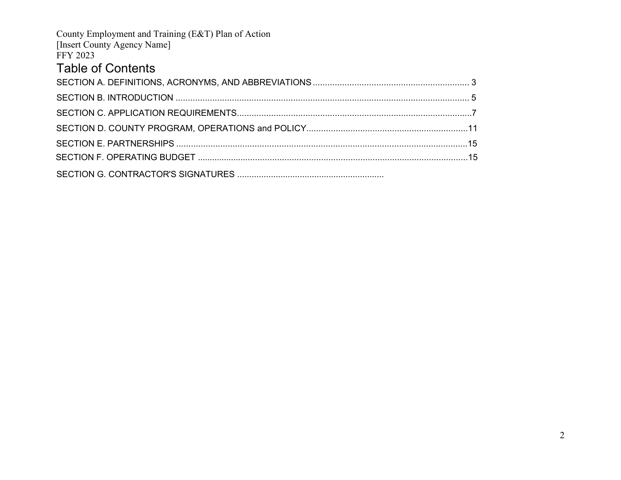<span id="page-1-0"></span>

| County Employment and Training (E&T) Plan of Action |  |
|-----------------------------------------------------|--|
| [Insert County Agency Name]                         |  |
| <b>FFY 2023</b>                                     |  |
| <b>Table of Contents</b>                            |  |
|                                                     |  |
|                                                     |  |
|                                                     |  |
|                                                     |  |
|                                                     |  |
|                                                     |  |
|                                                     |  |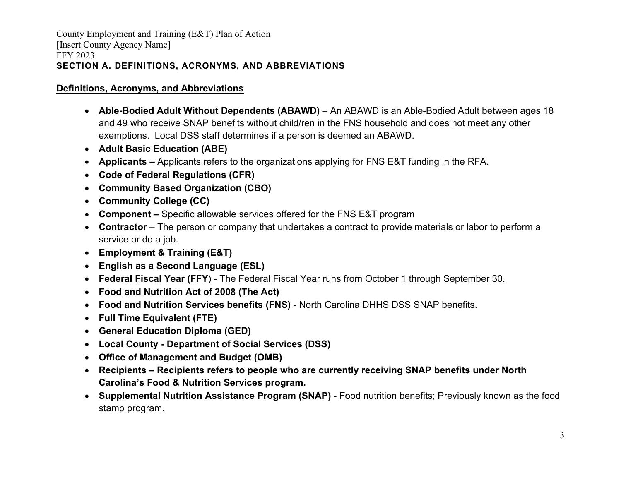### **Definitions, Acronyms, and Abbreviations**

- Able-Bodied Adult Without Dependents (ABAWD) An ABAWD is an Able-Bodied Adult between ages 18 and 49 who receive SNAP benefits without child/ren in the FNS household and does not meet any other exemptions. Local DSS staff determines if a person is deemed an ABAWD.
- **Adult Basic Education (ABE)**
- **Applicants** Applicants refers to the organizations applying for FNS E&T funding in the RFA.
- **Code of Federal Regulations (CFR)**
- **Community Based Organization (CBO)**
- **Community College (CC)**
- **Component** Specific allowable services offered for the FNS E&T program
- **Contractor** The person or company that undertakes a contract to provide materials or labor to perform a service or do a job.
- **Employment & Training (E&T)**
- **English as a Second Language (ESL)**
- **Federal Fiscal Year (FFY**) The Federal Fiscal Year runs from October 1 through September 30.
- **Food and Nutrition Act of 2008 (The Act)**
- **Food and Nutrition Services benefits (FNS)**  North Carolina DHHS DSS SNAP benefits.
- **Full Time Equivalent (FTE)**
- **General Education Diploma (GED)**
- **Local County Department of Social Services (DSS)**
- **Office of Management and Budget (OMB)**
- **Recipients Recipients refers to people who are currently receiving SNAP benefits under North Carolina's Food & Nutrition Services program.**
- **Supplemental Nutrition Assistance Program (SNAP)**  Food nutrition benefits; Previously known as the food stamp program.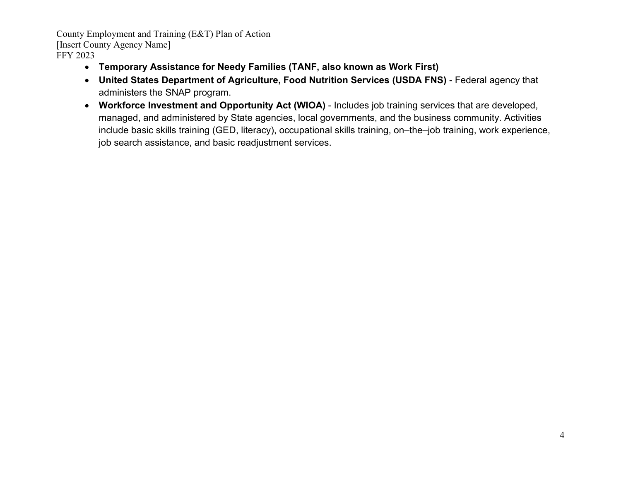- **Temporary Assistance for Needy Families (TANF, also known as Work First)**
- **United States Department of Agriculture, Food Nutrition Services (USDA FNS)**  Federal agency that administers the SNAP program.
- **Workforce Investment and Opportunity Act (WIOA)** Includes job training services that are developed, managed, and administered by State agencies, local governments, and the business community. Activities include basic skills training (GED, literacy), occupational skills training, on–the–job training, work experience, job search assistance, and basic readjustment services.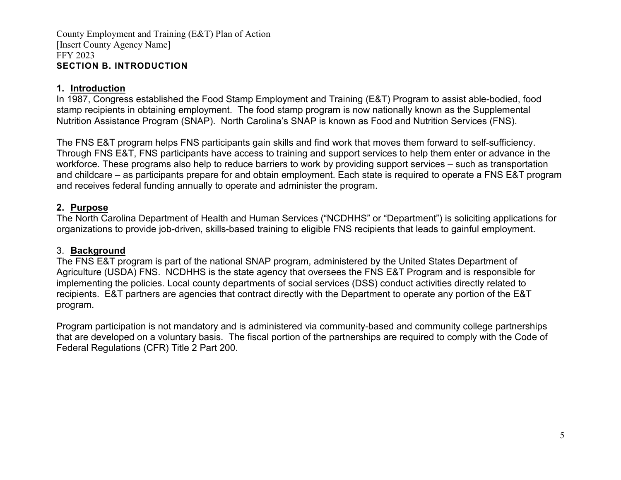### <span id="page-4-0"></span>**1. Introduction**

In 1987, Congress established the Food Stamp Employment and Training (E&T) Program to assist able-bodied, food stamp recipients in obtaining employment. The food stamp program is now nationally known as the Supplemental Nutrition Assistance Program (SNAP). North Carolina's SNAP is known as Food and Nutrition Services (FNS).

The FNS E&T program helps FNS participants gain skills and find work that moves them forward to self-sufficiency. Through FNS E&T, FNS participants have access to training and support services to help them enter or advance in the workforce. These programs also help to reduce barriers to work by providing support services – such as transportation and childcare – as participants prepare for and obtain employment. Each state is required to operate a FNS E&T program and receives federal funding annually to operate and administer the program.

### **2. Purpose**

The North Carolina Department of Health and Human Services ("NCDHHS" or "Department") is soliciting applications for organizations to provide job-driven, skills-based training to eligible FNS recipients that leads to gainful employment.

#### 3. **Background**

The FNS E&T program is part of the national SNAP program, administered by the United States Department of Agriculture (USDA) FNS. NCDHHS is the state agency that oversees the FNS E&T Program and is responsible for implementing the policies. Local county departments of social services (DSS) conduct activities directly related to recipients. E&T partners are agencies that contract directly with the Department to operate any portion of the E&T program.

Program participation is not mandatory and is administered via community-based and community college partnerships that are developed on a voluntary basis. The fiscal portion of the partnerships are required to comply with the Code of Federal Regulations (CFR) Title 2 Part 200.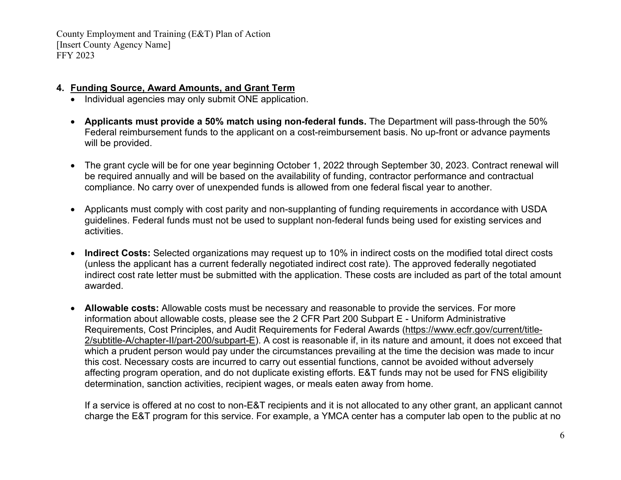### **4. Funding Source, Award Amounts, and Grant Term**

- Individual agencies may only submit ONE application.
- **Applicants must provide a 50% match using non-federal funds.** The Department will pass-through the 50% Federal reimbursement funds to the applicant on a cost-reimbursement basis. No up-front or advance payments will be provided.
- The grant cycle will be for one year beginning October 1, 2022 through September 30, 2023. Contract renewal will be required annually and will be based on the availability of funding, contractor performance and contractual compliance. No carry over of unexpended funds is allowed from one federal fiscal year to another.
- Applicants must comply with cost parity and non-supplanting of funding requirements in accordance with USDA guidelines. Federal funds must not be used to supplant non-federal funds being used for existing services and activities.
- **Indirect Costs:** Selected organizations may request up to 10% in indirect costs on the modified total direct costs (unless the applicant has a current federally negotiated indirect cost rate). The approved federally negotiated indirect cost rate letter must be submitted with the application. These costs are included as part of the total amount awarded.
- **Allowable costs:** Allowable costs must be necessary and reasonable to provide the services. For more information about allowable costs, please see the 2 CFR Part 200 Subpart E - Uniform Administrative Requirements, Cost Principles, and Audit Requirements for Federal Awards [\(https://www.ecfr.gov/current/title-](https://www.ecfr.gov/current/title-2/subtitle-A/chapter-II/part-200/subpart-E)[2/subtitle-A/chapter-II/part-200/subpart-E\)](https://www.ecfr.gov/current/title-2/subtitle-A/chapter-II/part-200/subpart-E). A cost is reasonable if, in its nature and amount, it does not exceed that which a prudent person would pay under the circumstances prevailing at the time the decision was made to incur this cost. Necessary costs are incurred to carry out essential functions, cannot be avoided without adversely affecting program operation, and do not duplicate existing efforts. E&T funds may not be used for FNS eligibility determination, sanction activities, recipient wages, or meals eaten away from home.

If a service is offered at no cost to non-E&T recipients and it is not allocated to any other grant, an applicant cannot charge the E&T program for this service. For example, a YMCA center has a computer lab open to the public at no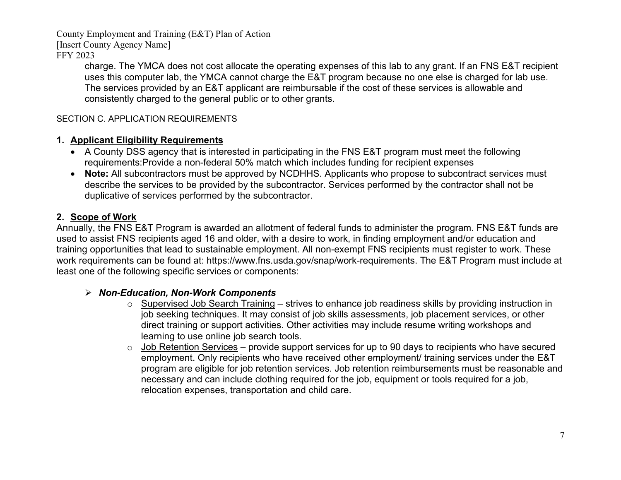[Insert County Agency Name]

FFY 2023

charge. The YMCA does not cost allocate the operating expenses of this lab to any grant. If an FNS E&T recipient uses this computer lab, the YMCA cannot charge the E&T program because no one else is charged for lab use. The services provided by an E&T applicant are reimbursable if the cost of these services is allowable and consistently charged to the general public or to other grants.

## <span id="page-6-0"></span>SECTION C. APPLICATION REQUIREMENTS

# **1. Applicant Eligibility Requirements**

- A County DSS agency that is interested in participating in the FNS E&T program must meet the following requirements:Provide a non-federal 50% match which includes funding for recipient expenses
- **Note:** All subcontractors must be approved by NCDHHS. Applicants who propose to subcontract services must describe the services to be provided by the subcontractor. Services performed by the contractor shall not be duplicative of services performed by the subcontractor.

# **2. Scope of Work**

Annually, the FNS E&T Program is awarded an allotment of federal funds to administer the program. FNS E&T funds are used to assist FNS recipients aged 16 and older, with a desire to work, in finding employment and/or education and training opportunities that lead to sustainable employment. All non-exempt FNS recipients must register to work. These work requirements can be found at: [https://www.fns.usda.gov/snap/work-requirements.](https://www.fns.usda.gov/snap/work-requirements) The E&T Program must include at least one of the following specific services or components:

## *Non-Education, Non-Work Components*

- $\circ$  Supervised Job Search Training strives to enhance job readiness skills by providing instruction in job seeking techniques. It may consist of job skills assessments, job placement services, or other direct training or support activities. Other activities may include resume writing workshops and learning to use online job search tools.
- $\circ$  Job Retention Services provide support services for up to 90 days to recipients who have secured employment. Only recipients who have received other employment/ training services under the E&T program are eligible for job retention services. Job retention reimbursements must be reasonable and necessary and can include clothing required for the job, equipment or tools required for a job, relocation expenses, transportation and child care.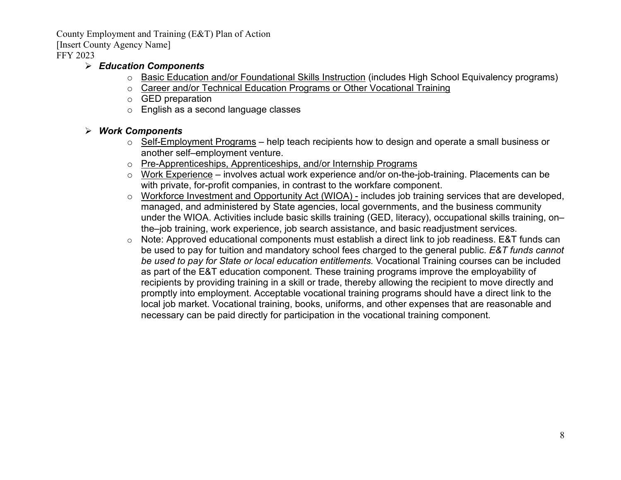[Insert County Agency Name]

FFY 2023

## *Education Components*

- o Basic Education and/or Foundational Skills Instruction (includes High School Equivalency programs)
- o Career and/or Technical Education Programs or Other Vocational Training
- o GED preparation
- o English as a second language classes

## *Work Components*

- $\circ$  Self-Employment Programs help teach recipients how to design and operate a small business or another self–employment venture.
- o Pre-Apprenticeships, Apprenticeships, and/or Internship Programs
- o Work Experience involves actual work experience and/or on-the-job-training. Placements can be with private, for-profit companies, in contrast to the workfare component.
- o Workforce Investment and Opportunity Act (WIOA) includes job training services that are developed, managed, and administered by State agencies, local governments, and the business community under the WIOA. Activities include basic skills training (GED, literacy), occupational skills training, on– the–job training, work experience, job search assistance, and basic readjustment services.
- o Note: Approved educational components must establish a direct link to job readiness. E&T funds can be used to pay for tuition and mandatory school fees charged to the general public. *E&T funds cannot be used to pay for State or local education entitlements.* Vocational Training courses can be included as part of the E&T education component. These training programs improve the employability of recipients by providing training in a skill or trade, thereby allowing the recipient to move directly and promptly into employment. Acceptable vocational training programs should have a direct link to the local job market. Vocational training, books, uniforms, and other expenses that are reasonable and necessary can be paid directly for participation in the vocational training component.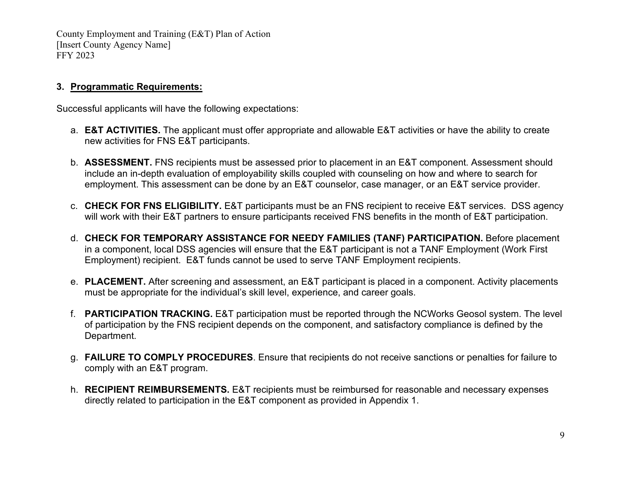#### **3. Programmatic Requirements:**

Successful applicants will have the following expectations:

- a. **E&T ACTIVITIES.** The applicant must offer appropriate and allowable E&T activities or have the ability to create new activities for FNS E&T participants.
- b. **ASSESSMENT.** FNS recipients must be assessed prior to placement in an E&T component. Assessment should include an in-depth evaluation of employability skills coupled with counseling on how and where to search for employment. This assessment can be done by an E&T counselor, case manager, or an E&T service provider.
- c. **CHECK FOR FNS ELIGIBILITY.** E&T participants must be an FNS recipient to receive E&T services. DSS agency will work with their E&T partners to ensure participants received FNS benefits in the month of E&T participation.
- d. **CHECK FOR TEMPORARY ASSISTANCE FOR NEEDY FAMILIES (TANF) PARTICIPATION.** Before placement in a component, local DSS agencies will ensure that the E&T participant is not a TANF Employment (Work First Employment) recipient. E&T funds cannot be used to serve TANF Employment recipients.
- e. **PLACEMENT.** After screening and assessment, an E&T participant is placed in a component. Activity placements must be appropriate for the individual's skill level, experience, and career goals.
- f. **PARTICIPATION TRACKING.** E&T participation must be reported through the NCWorks Geosol system. The level of participation by the FNS recipient depends on the component, and satisfactory compliance is defined by the Department.
- g. **FAILURE TO COMPLY PROCEDURES**. Ensure that recipients do not receive sanctions or penalties for failure to comply with an E&T program.
- h. **RECIPIENT REIMBURSEMENTS.** E&T recipients must be reimbursed for reasonable and necessary expenses directly related to participation in the E&T component as provided in Appendix 1.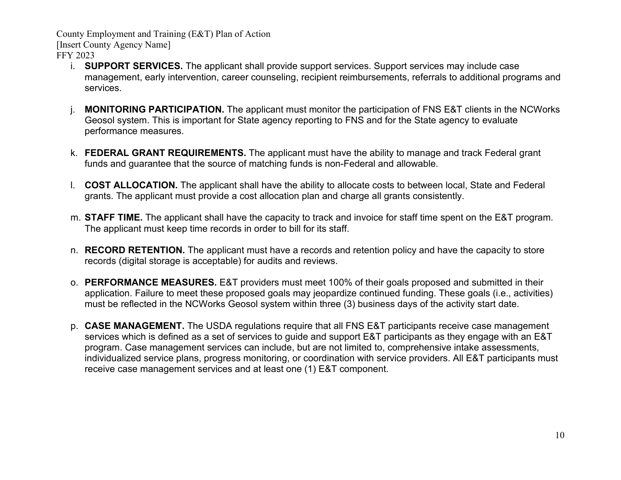[Insert County Agency Name]

FFY 2023

- i. **SUPPORT SERVICES.** The applicant shall provide support services. Support services may include case management, early intervention, career counseling, recipient reimbursements, referrals to additional programs and services.
- **MONITORING PARTICIPATION.** The applicant must monitor the participation of FNS E&T clients in the NCWorks Geosol system. This is important for State agency reporting to FNS and for the State agency to evaluate performance measures.
- k. **FEDERAL GRANT REQUIREMENTS.** The applicant must have the ability to manage and track Federal grant funds and guarantee that the source of matching funds is non-Federal and allowable.
- l. **COST ALLOCATION.** The applicant shall have the ability to allocate costs to between local, State and Federal grants. The applicant must provide a cost allocation plan and charge all grants consistently.
- m. **STAFF TIME.** The applicant shall have the capacity to track and invoice for staff time spent on the E&T program. The applicant must keep time records in order to bill for its staff.
- n. **RECORD RETENTION.** The applicant must have a records and retention policy and have the capacity to store records (digital storage is acceptable) for audits and reviews.
- o. **PERFORMANCE MEASURES.** E&T providers must meet 100% of their goals proposed and submitted in their application. Failure to meet these proposed goals may jeopardize continued funding. These goals (i.e., activities) must be reflected in the NCWorks Geosol system within three (3) business days of the activity start date.
- p. **CASE MANAGEMENT.** The USDA regulations require that all FNS E&T participants receive case management services which is defined as a set of services to guide and support E&T participants as they engage with an E&T program. Case management services can include, but are not limited to, comprehensive intake assessments, individualized service plans, progress monitoring, or coordination with service providers. All E&T participants must receive case management services and at least one (1) E&T component.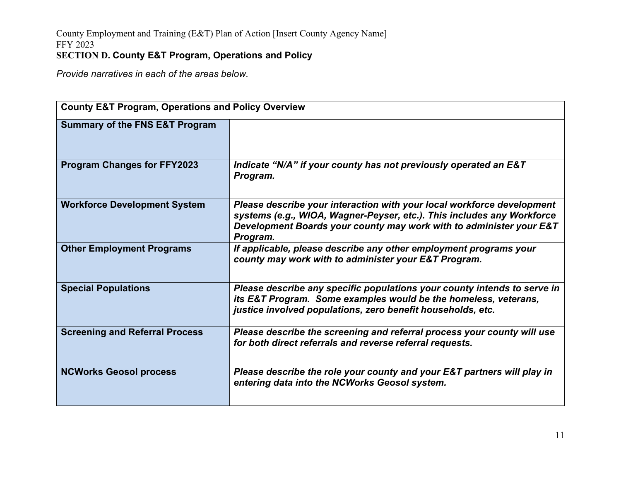*Provide narratives in each of the areas below.* 

| <b>County E&amp;T Program, Operations and Policy Overview</b> |                                                                                                                                                                                                                                     |  |  |
|---------------------------------------------------------------|-------------------------------------------------------------------------------------------------------------------------------------------------------------------------------------------------------------------------------------|--|--|
| <b>Summary of the FNS E&amp;T Program</b>                     |                                                                                                                                                                                                                                     |  |  |
| <b>Program Changes for FFY2023</b>                            | Indicate "N/A" if your county has not previously operated an E&T<br>Program.                                                                                                                                                        |  |  |
| <b>Workforce Development System</b>                           | Please describe your interaction with your local workforce development<br>systems (e.g., WIOA, Wagner-Peyser, etc.). This includes any Workforce<br>Development Boards your county may work with to administer your E&T<br>Program. |  |  |
| <b>Other Employment Programs</b>                              | If applicable, please describe any other employment programs your<br>county may work with to administer your E&T Program.                                                                                                           |  |  |
| <b>Special Populations</b>                                    | Please describe any specific populations your county intends to serve in<br>its E&T Program. Some examples would be the homeless, veterans,<br>justice involved populations, zero benefit households, etc.                          |  |  |
| <b>Screening and Referral Process</b>                         | Please describe the screening and referral process your county will use<br>for both direct referrals and reverse referral requests.                                                                                                 |  |  |
| <b>NCWorks Geosol process</b>                                 | Please describe the role your county and your E&T partners will play in<br>entering data into the NCWorks Geosol system.                                                                                                            |  |  |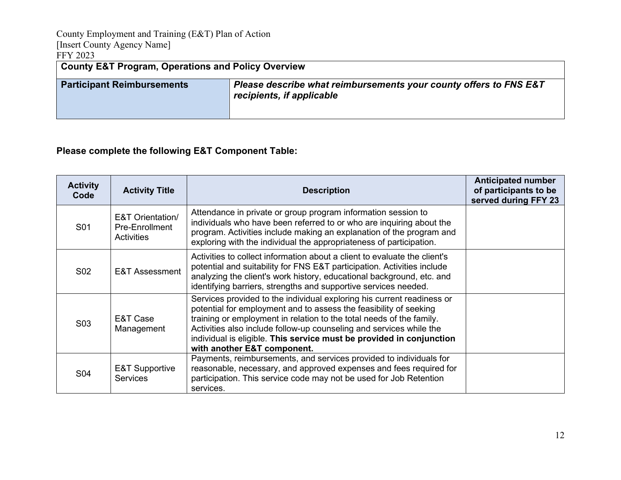County Employment and Training (E&T) Plan of Action [Insert County Agency Name] FFY 2023 **County E&T Program, Operations and Policy Overview Participant Reimbursements** *Please describe what reimbursements your county offers to FNS E&T recipients, if applicable* 

## **Please complete the following E&T Component Table:**

| <b>Activity</b><br>Code | <b>Activity Title</b>                                              | <b>Description</b>                                                                                                                                                                                                                                                                                                                                                                                | <b>Anticipated number</b><br>of participants to be<br>served during FFY 23 |
|-------------------------|--------------------------------------------------------------------|---------------------------------------------------------------------------------------------------------------------------------------------------------------------------------------------------------------------------------------------------------------------------------------------------------------------------------------------------------------------------------------------------|----------------------------------------------------------------------------|
| S <sub>01</sub>         | <b>E&amp;T Orientation/</b><br>Pre-Enrollment<br><b>Activities</b> | Attendance in private or group program information session to<br>individuals who have been referred to or who are inquiring about the<br>program. Activities include making an explanation of the program and<br>exploring with the individual the appropriateness of participation.                                                                                                              |                                                                            |
| S <sub>02</sub>         | <b>E&amp;T Assessment</b>                                          | Activities to collect information about a client to evaluate the client's<br>potential and suitability for FNS E&T participation. Activities include<br>analyzing the client's work history, educational background, etc. and<br>identifying barriers, strengths and supportive services needed.                                                                                                  |                                                                            |
| S <sub>0</sub> 3        | E&T Case<br>Management                                             | Services provided to the individual exploring his current readiness or<br>potential for employment and to assess the feasibility of seeking<br>training or employment in relation to the total needs of the family.<br>Activities also include follow-up counseling and services while the<br>individual is eligible. This service must be provided in conjunction<br>with another E&T component. |                                                                            |
| S <sub>04</sub>         | <b>E&amp;T Supportive</b><br><b>Services</b>                       | Payments, reimbursements, and services provided to individuals for<br>reasonable, necessary, and approved expenses and fees required for<br>participation. This service code may not be used for Job Retention<br>services.                                                                                                                                                                       |                                                                            |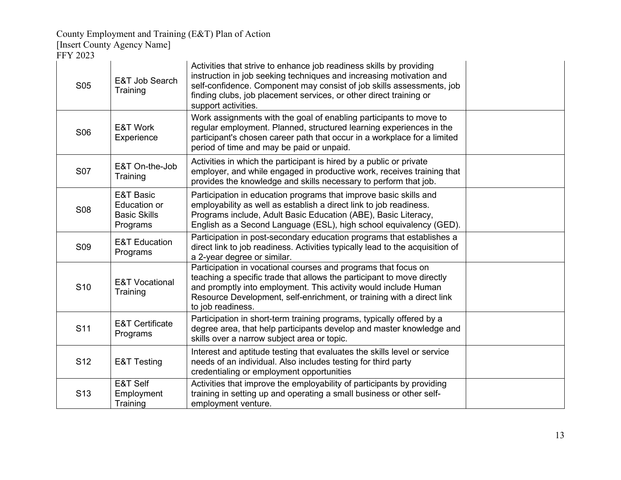[Insert County Agency Name]

FFY 2023

| <b>S05</b>      | E&T Job Search<br>Training                                                     | Activities that strive to enhance job readiness skills by providing<br>instruction in job seeking techniques and increasing motivation and<br>self-confidence. Component may consist of job skills assessments, job<br>finding clubs, job placement services, or other direct training or<br>support activities. |  |
|-----------------|--------------------------------------------------------------------------------|------------------------------------------------------------------------------------------------------------------------------------------------------------------------------------------------------------------------------------------------------------------------------------------------------------------|--|
| S <sub>06</sub> | E&T Work<br>Experience                                                         | Work assignments with the goal of enabling participants to move to<br>regular employment. Planned, structured learning experiences in the<br>participant's chosen career path that occur in a workplace for a limited<br>period of time and may be paid or unpaid.                                               |  |
| <b>S07</b>      | E&T On-the-Job<br>Training                                                     | Activities in which the participant is hired by a public or private<br>employer, and while engaged in productive work, receives training that<br>provides the knowledge and skills necessary to perform that job.                                                                                                |  |
| <b>S08</b>      | <b>E&amp;T Basic</b><br><b>Education or</b><br><b>Basic Skills</b><br>Programs | Participation in education programs that improve basic skills and<br>employability as well as establish a direct link to job readiness.<br>Programs include, Adult Basic Education (ABE), Basic Literacy,<br>English as a Second Language (ESL), high school equivalency (GED).                                  |  |
| S <sub>09</sub> | <b>E&amp;T Education</b><br>Programs                                           | Participation in post-secondary education programs that establishes a<br>direct link to job readiness. Activities typically lead to the acquisition of<br>a 2-year degree or similar.                                                                                                                            |  |
| S <sub>10</sub> | <b>E&amp;T Vocational</b><br>Training                                          | Participation in vocational courses and programs that focus on<br>teaching a specific trade that allows the participant to move directly<br>and promptly into employment. This activity would include Human<br>Resource Development, self-enrichment, or training with a direct link<br>to job readiness.        |  |
| S <sub>11</sub> | <b>E&amp;T Certificate</b><br>Programs                                         | Participation in short-term training programs, typically offered by a<br>degree area, that help participants develop and master knowledge and<br>skills over a narrow subject area or topic.                                                                                                                     |  |
| S <sub>12</sub> | <b>E&amp;T Testing</b>                                                         | Interest and aptitude testing that evaluates the skills level or service<br>needs of an individual. Also includes testing for third party<br>credentialing or employment opportunities                                                                                                                           |  |
| S <sub>13</sub> | E&T Self<br>Employment<br>Training                                             | Activities that improve the employability of participants by providing<br>training in setting up and operating a small business or other self-<br>employment venture.                                                                                                                                            |  |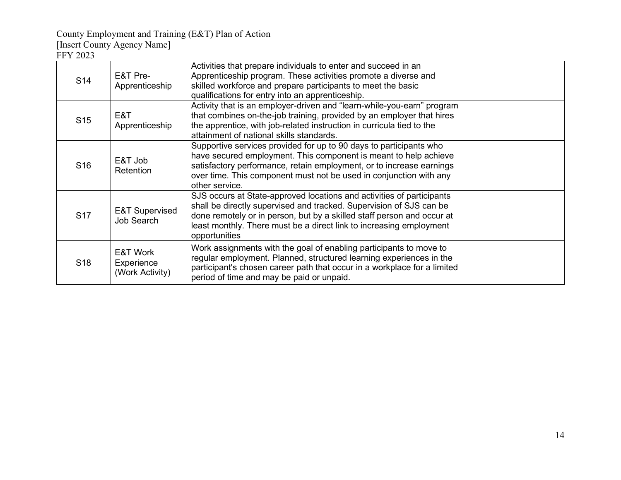[Insert County Agency Name]

FFY 2023

| S <sub>14</sub> | E&T Pre-<br>Apprenticeship                | Activities that prepare individuals to enter and succeed in an<br>Apprenticeship program. These activities promote a diverse and<br>skilled workforce and prepare participants to meet the basic<br>qualifications for entry into an apprenticeship.                                                           |  |
|-----------------|-------------------------------------------|----------------------------------------------------------------------------------------------------------------------------------------------------------------------------------------------------------------------------------------------------------------------------------------------------------------|--|
| S <sub>15</sub> | E&T<br>Apprenticeship                     | Activity that is an employer-driven and "learn-while-you-earn" program<br>that combines on-the-job training, provided by an employer that hires<br>the apprentice, with job-related instruction in curricula tied to the<br>attainment of national skills standards.                                           |  |
| S <sub>16</sub> | E&T Job<br>Retention                      | Supportive services provided for up to 90 days to participants who<br>have secured employment. This component is meant to help achieve<br>satisfactory performance, retain employment, or to increase earnings<br>over time. This component must not be used in conjunction with any<br>other service.         |  |
| S <sub>17</sub> | <b>E&amp;T Supervised</b><br>Job Search   | SJS occurs at State-approved locations and activities of participants<br>shall be directly supervised and tracked. Supervision of SJS can be<br>done remotely or in person, but by a skilled staff person and occur at<br>least monthly. There must be a direct link to increasing employment<br>opportunities |  |
| S <sub>18</sub> | E&T Work<br>Experience<br>(Work Activity) | Work assignments with the goal of enabling participants to move to<br>regular employment. Planned, structured learning experiences in the<br>participant's chosen career path that occur in a workplace for a limited<br>period of time and may be paid or unpaid.                                             |  |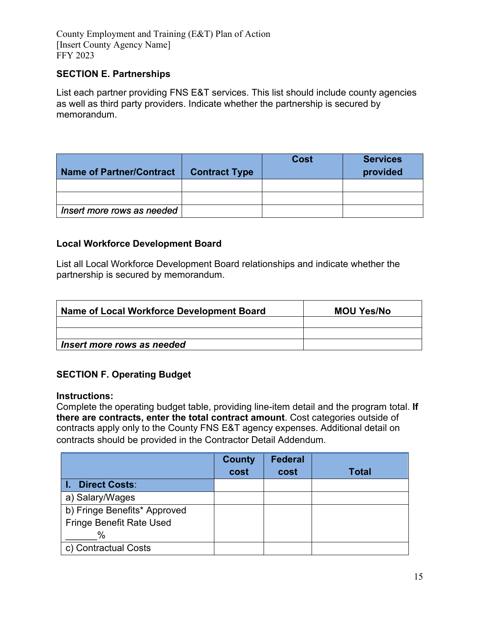### **SECTION E. Partnerships**

List each partner providing FNS E&T services. This list should include county agencies as well as third party providers. Indicate whether the partnership is secured by memorandum.

| <b>Name of Partner/Contract</b> | <b>Contract Type</b> | <b>Cost</b> | <b>Services</b><br>provided |
|---------------------------------|----------------------|-------------|-----------------------------|
|                                 |                      |             |                             |
|                                 |                      |             |                             |
| Insert more rows as needed      |                      |             |                             |

#### **Local Workforce Development Board**

List all Local Workforce Development Board relationships and indicate whether the partnership is secured by memorandum.

| Name of Local Workforce Development Board | <b>MOU Yes/No</b> |
|-------------------------------------------|-------------------|
|                                           |                   |
|                                           |                   |
| Insert more rows as needed                |                   |

## **SECTION F. Operating Budget**

#### **Instructions:**

Complete the operating budget table, providing line-item detail and the program total. **If there are contracts, enter the total contract amount**. Cost categories outside of contracts apply only to the County FNS E&T agency expenses. Additional detail on contracts should be provided in the Contractor Detail Addendum.

|                                 | <b>County</b> | <b>Federal</b> |              |
|---------------------------------|---------------|----------------|--------------|
|                                 | cost          | cost           | <b>Total</b> |
| <b>Direct Costs:</b>            |               |                |              |
| a) Salary/Wages                 |               |                |              |
| b) Fringe Benefits* Approved    |               |                |              |
| <b>Fringe Benefit Rate Used</b> |               |                |              |
| $\%$                            |               |                |              |
| c) Contractual Costs            |               |                |              |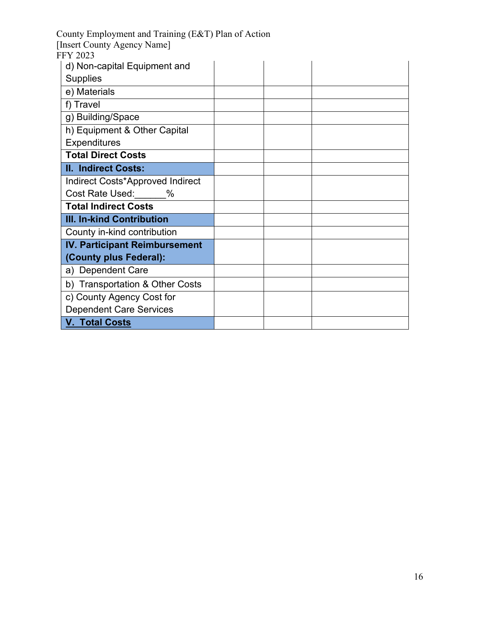| County Employment and Training (E&T) Plan of Action |  |  |  |  |
|-----------------------------------------------------|--|--|--|--|
| [Insert County Agency Name]                         |  |  |  |  |
| <b>FFY 2023</b>                                     |  |  |  |  |
| d) Non-capital Equipment and                        |  |  |  |  |
| <b>Supplies</b>                                     |  |  |  |  |
| e) Materials                                        |  |  |  |  |
| f) Travel                                           |  |  |  |  |
| g) Building/Space                                   |  |  |  |  |
| h) Equipment & Other Capital                        |  |  |  |  |
| <b>Expenditures</b>                                 |  |  |  |  |
| <b>Total Direct Costs</b>                           |  |  |  |  |
| <b>II. Indirect Costs:</b>                          |  |  |  |  |
| Indirect Costs*Approved Indirect                    |  |  |  |  |
| Cost Rate Used: %                                   |  |  |  |  |
| <b>Total Indirect Costs</b>                         |  |  |  |  |
| III. In-kind Contribution                           |  |  |  |  |
| County in-kind contribution                         |  |  |  |  |
| <b>IV. Participant Reimbursement</b>                |  |  |  |  |
| (County plus Federal):                              |  |  |  |  |
| a) Dependent Care                                   |  |  |  |  |
| b) Transportation & Other Costs                     |  |  |  |  |
| c) County Agency Cost for                           |  |  |  |  |
| <b>Dependent Care Services</b>                      |  |  |  |  |
| <b>V. Total Costs</b>                               |  |  |  |  |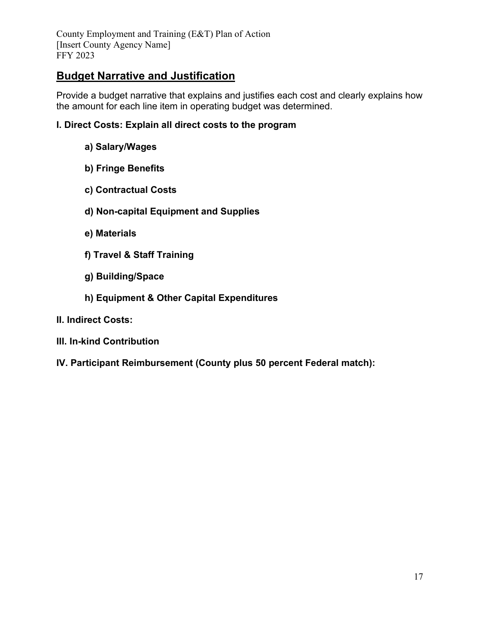# **Budget Narrative and Justification**

Provide a budget narrative that explains and justifies each cost and clearly explains how the amount for each line item in operating budget was determined.

### **I. Direct Costs: Explain all direct costs to the program**

- **a) Salary/Wages**
- **b) Fringe Benefits**
- **c) Contractual Costs**
- **d) Non-capital Equipment and Supplies**
- **e) Materials**
- **f) Travel & Staff Training**
- **g) Building/Space**
- **h) Equipment & Other Capital Expenditures**
- **II. Indirect Costs:**
- **III. In-kind Contribution**
- **IV. Participant Reimbursement (County plus 50 percent Federal match):**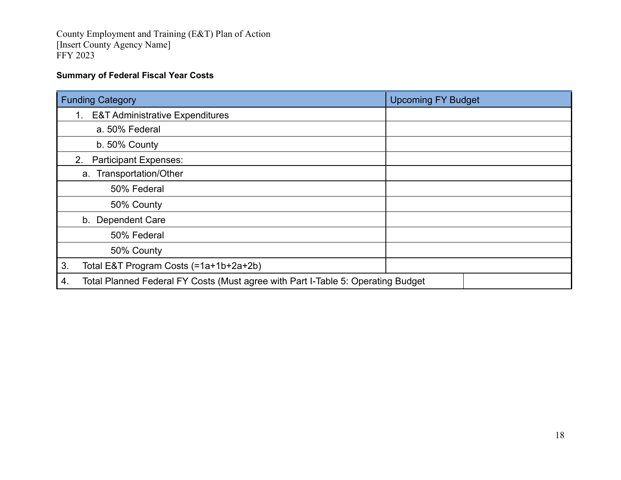### **Summary of Federal Fiscal Year Costs**

| <b>Funding Category</b>                                                                | <b>Upcoming FY Budget</b> |
|----------------------------------------------------------------------------------------|---------------------------|
| <b>E&amp;T Administrative Expenditures</b><br>1.                                       |                           |
| a. 50% Federal                                                                         |                           |
| b. 50% County                                                                          |                           |
| <b>Participant Expenses:</b><br>2.                                                     |                           |
| a. Transportation/Other                                                                |                           |
| 50% Federal                                                                            |                           |
| 50% County                                                                             |                           |
| b. Dependent Care                                                                      |                           |
| 50% Federal                                                                            |                           |
| 50% County                                                                             |                           |
| 3.<br>Total E&T Program Costs (=1a+1b+2a+2b)                                           |                           |
| Total Planned Federal FY Costs (Must agree with Part I-Table 5: Operating Budget<br>4. |                           |